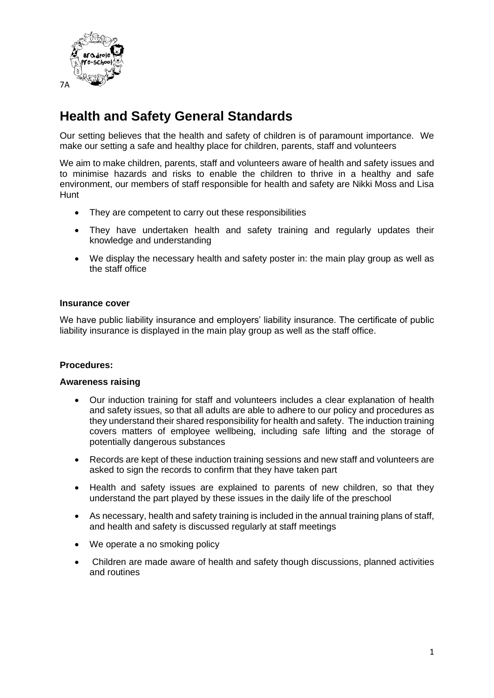

# **Health and Safety General Standards**

Our setting believes that the health and safety of children is of paramount importance. We make our setting a safe and healthy place for children, parents, staff and volunteers

We aim to make children, parents, staff and volunteers aware of health and safety issues and to minimise hazards and risks to enable the children to thrive in a healthy and safe environment, our members of staff responsible for health and safety are Nikki Moss and Lisa Hunt

- They are competent to carry out these responsibilities
- They have undertaken health and safety training and regularly updates their knowledge and understanding
- We display the necessary health and safety poster in: the main play group as well as the staff office

## **Insurance cover**

We have public liability insurance and employers' liability insurance. The certificate of public liability insurance is displayed in the main play group as well as the staff office.

## **Procedures:**

#### **Awareness raising**

- Our induction training for staff and volunteers includes a clear explanation of health and safety issues, so that all adults are able to adhere to our policy and procedures as they understand their shared responsibility for health and safety. The induction training covers matters of employee wellbeing, including safe lifting and the storage of potentially dangerous substances
- Records are kept of these induction training sessions and new staff and volunteers are asked to sign the records to confirm that they have taken part
- Health and safety issues are explained to parents of new children, so that they understand the part played by these issues in the daily life of the preschool
- As necessary, health and safety training is included in the annual training plans of staff. and health and safety is discussed regularly at staff meetings
- We operate a no smoking policy
- Children are made aware of health and safety though discussions, planned activities and routines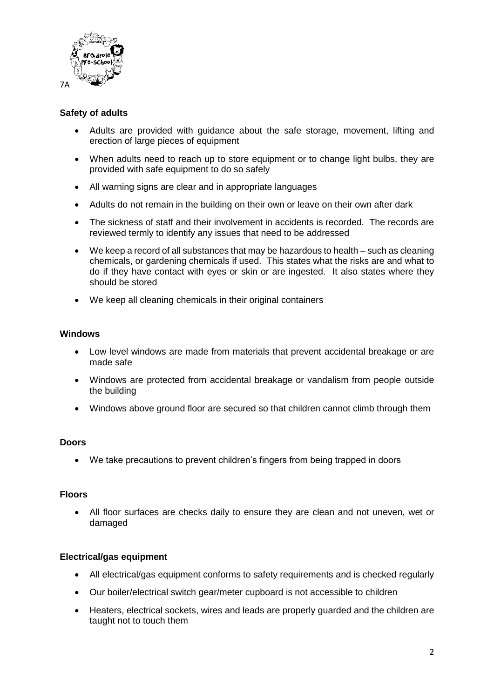

# **Safety of adults**

- Adults are provided with guidance about the safe storage, movement, lifting and erection of large pieces of equipment
- When adults need to reach up to store equipment or to change light bulbs, they are provided with safe equipment to do so safely
- All warning signs are clear and in appropriate languages
- Adults do not remain in the building on their own or leave on their own after dark
- The sickness of staff and their involvement in accidents is recorded. The records are reviewed termly to identify any issues that need to be addressed
- We keep a record of all substances that may be hazardous to health such as cleaning chemicals, or gardening chemicals if used. This states what the risks are and what to do if they have contact with eyes or skin or are ingested. It also states where they should be stored
- We keep all cleaning chemicals in their original containers

## **Windows**

- Low level windows are made from materials that prevent accidental breakage or are made safe
- Windows are protected from accidental breakage or vandalism from people outside the building
- Windows above ground floor are secured so that children cannot climb through them

## **Doors**

• We take precautions to prevent children's fingers from being trapped in doors

## **Floors**

• All floor surfaces are checks daily to ensure they are clean and not uneven, wet or damaged

## **Electrical/gas equipment**

- All electrical/gas equipment conforms to safety requirements and is checked regularly
- Our boiler/electrical switch gear/meter cupboard is not accessible to children
- Heaters, electrical sockets, wires and leads are properly guarded and the children are taught not to touch them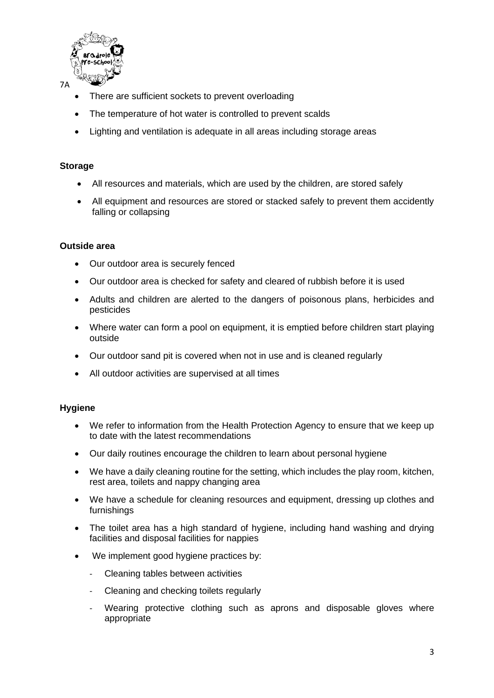

- There are sufficient sockets to prevent overloading
- The temperature of hot water is controlled to prevent scalds
- Lighting and ventilation is adequate in all areas including storage areas

#### **Storage**

- All resources and materials, which are used by the children, are stored safely
- All equipment and resources are stored or stacked safely to prevent them accidently falling or collapsing

#### **Outside area**

- Our outdoor area is securely fenced
- Our outdoor area is checked for safety and cleared of rubbish before it is used
- Adults and children are alerted to the dangers of poisonous plans, herbicides and pesticides
- Where water can form a pool on equipment, it is emptied before children start playing outside
- Our outdoor sand pit is covered when not in use and is cleaned regularly
- All outdoor activities are supervised at all times

#### **Hygiene**

- We refer to information from the Health Protection Agency to ensure that we keep up to date with the latest recommendations
- Our daily routines encourage the children to learn about personal hygiene
- We have a daily cleaning routine for the setting, which includes the play room, kitchen, rest area, toilets and nappy changing area
- We have a schedule for cleaning resources and equipment, dressing up clothes and furnishings
- The toilet area has a high standard of hygiene, including hand washing and drying facilities and disposal facilities for nappies
- We implement good hygiene practices by:
	- Cleaning tables between activities
	- Cleaning and checking toilets regularly
	- Wearing protective clothing such as aprons and disposable gloves where appropriate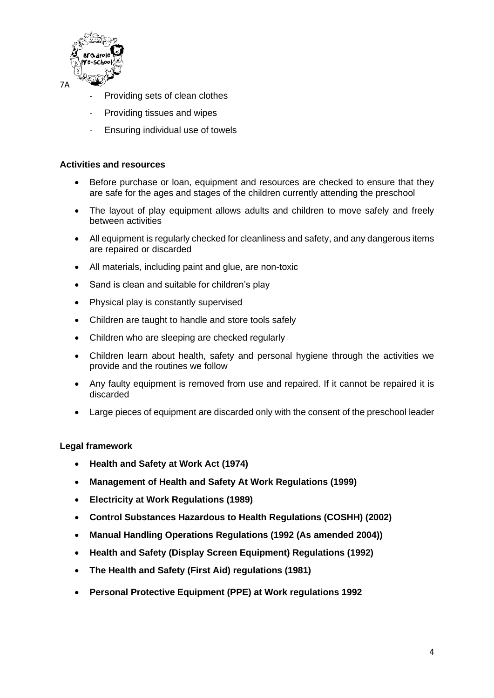

- Providing sets of clean clothes
- Providing tissues and wipes
- Ensuring individual use of towels

## **Activities and resources**

- Before purchase or loan, equipment and resources are checked to ensure that they are safe for the ages and stages of the children currently attending the preschool
- The layout of play equipment allows adults and children to move safely and freely between activities
- All equipment is regularly checked for cleanliness and safety, and any dangerous items are repaired or discarded
- All materials, including paint and glue, are non-toxic
- Sand is clean and suitable for children's play
- Physical play is constantly supervised
- Children are taught to handle and store tools safely
- Children who are sleeping are checked regularly
- Children learn about health, safety and personal hygiene through the activities we provide and the routines we follow
- Any faulty equipment is removed from use and repaired. If it cannot be repaired it is discarded
- Large pieces of equipment are discarded only with the consent of the preschool leader

## **Legal framework**

- **Health and Safety at Work Act (1974)**
- **Management of Health and Safety At Work Regulations (1999)**
- **Electricity at Work Regulations (1989)**
- **Control Substances Hazardous to Health Regulations (COSHH) (2002)**
- **Manual Handling Operations Regulations (1992 (As amended 2004))**
- **Health and Safety (Display Screen Equipment) Regulations (1992)**
- **The Health and Safety (First Aid) regulations (1981)**
- **Personal Protective Equipment (PPE) at Work regulations 1992**